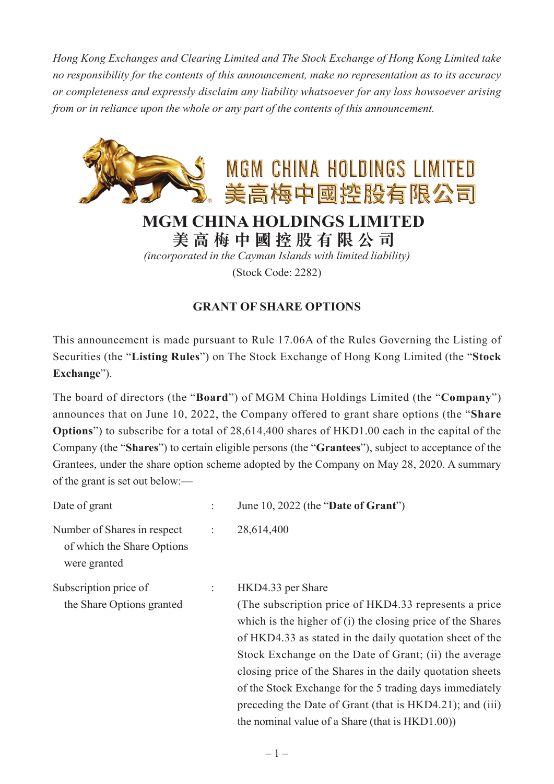*Hong Kong Exchanges and Clearing Limited and The Stock Exchange of Hong Kong Limited take no responsibility for the contents of this announcement, make no representation as to its accuracy or completeness and expressly disclaim any liability whatsoever for any loss howsoever arising from or in reliance upon the whole or any part of the contents of this announcement.*



**美高梅中國控股有限公司**

*(incorporated in the Cayman Islands with limited liability)* (Stock Code: 2282)

## **GRANT OF SHARE OPTIONS**

This announcement is made pursuant to Rule 17.06A of the Rules Governing the Listing of Securities (the "**Listing Rules**") on The Stock Exchange of Hong Kong Limited (the "**Stock Exchange**").

The board of directors (the "**Board**") of MGM China Holdings Limited (the "**Company**") announces that on June 10, 2022, the Company offered to grant share options (the "**Share Options**") to subscribe for a total of 28,614,400 shares of HKD1.00 each in the capital of the Company (the "**Shares**") to certain eligible persons (the "**Grantees**"), subject to acceptance of the Grantees, under the share option scheme adopted by the Company on May 28, 2020. A summary of the grant is set out below:—

| Date of grant                                                             |                           | June 10, 2022 (the "Date of Grant")                                                                                                                                                                                                                                                                                                                                                                                                                                                                    |
|---------------------------------------------------------------------------|---------------------------|--------------------------------------------------------------------------------------------------------------------------------------------------------------------------------------------------------------------------------------------------------------------------------------------------------------------------------------------------------------------------------------------------------------------------------------------------------------------------------------------------------|
| Number of Shares in respect<br>of which the Share Options<br>were granted | $\ddot{\cdot}$            | 28,614,400                                                                                                                                                                                                                                                                                                                                                                                                                                                                                             |
| Subscription price of<br>the Share Options granted                        | $\mathbb{Z}^{\mathbb{Z}}$ | HKD4.33 per Share<br>(The subscription price of HKD4.33 represents a price)<br>which is the higher of (i) the closing price of the Shares<br>of HKD4.33 as stated in the daily quotation sheet of the<br>Stock Exchange on the Date of Grant; (ii) the average<br>closing price of the Shares in the daily quotation sheets<br>of the Stock Exchange for the 5 trading days immediately<br>preceding the Date of Grant (that is HKD4.21); and (iii)<br>the nominal value of a Share (that is HKD1.00)) |